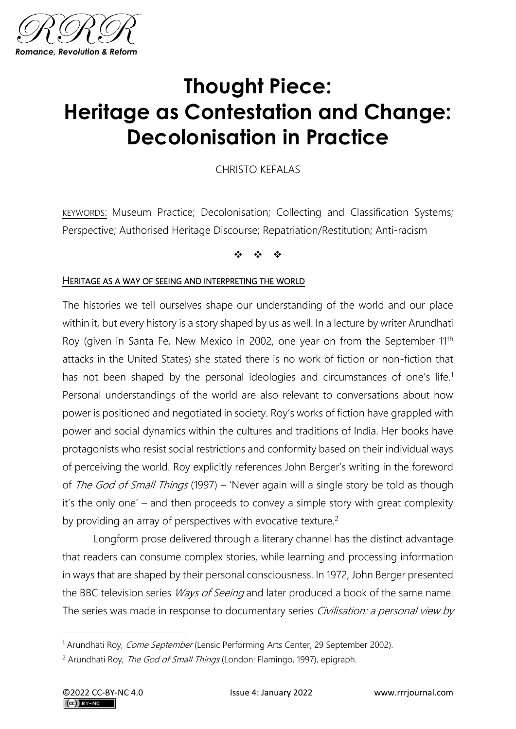

# **Thought Piece: Heritage as Contestation and Change: Decolonisation in Practice**

CHRISTO KEFALAS

KEYWORDS: Museum Practice; Decolonisation; Collecting and Classification Systems; Perspective; Authorised Heritage Discourse; Repatriation/Restitution; Anti-racism

❖ ❖ ❖

#### HERITAGE AS A WAY OF SEEING AND INTERPRETING THE WORLD

The histories we tell ourselves shape our understanding of the world and our place within it, but every history is a story shaped by us as well. In a lecture by writer Arundhati Roy (given in Santa Fe, New Mexico in 2002, one year on from the September 11<sup>th</sup> attacks in the United States) she stated there is no work of fiction or non-fiction that has not been shaped by the personal ideologies and circumstances of one's life.<sup>1</sup> Personal understandings of the world are also relevant to conversations about how power is positioned and negotiated in society. Roy's works of fiction have grappled with power and social dynamics within the cultures and traditions of India. Her books have protagonists who resist social restrictions and conformity based on their individual ways of perceiving the world. Roy explicitly references John Berger's writing in the foreword of The God of Small Things (1997) – 'Never again will a single story be told as though it's the only one' – and then proceeds to convey a simple story with great complexity by providing an array of perspectives with evocative texture.<sup>2</sup>

Longform prose delivered through a literary channel has the distinct advantage that readers can consume complex stories, while learning and processing information in ways that are shaped by their personal consciousness. In 1972, John Berger presented the BBC television series *Ways of Seeing* and later produced a book of the same name. The series was made in response to documentary series Civilisation: a personal view by

<sup>&</sup>lt;sup>1</sup> Arundhati Roy, *Come September* (Lensic Performing Arts Center, 29 September 2002).

<sup>&</sup>lt;sup>2</sup> Arundhati Roy, *The God of Small Things* (London: Flamingo, 1997), epigraph.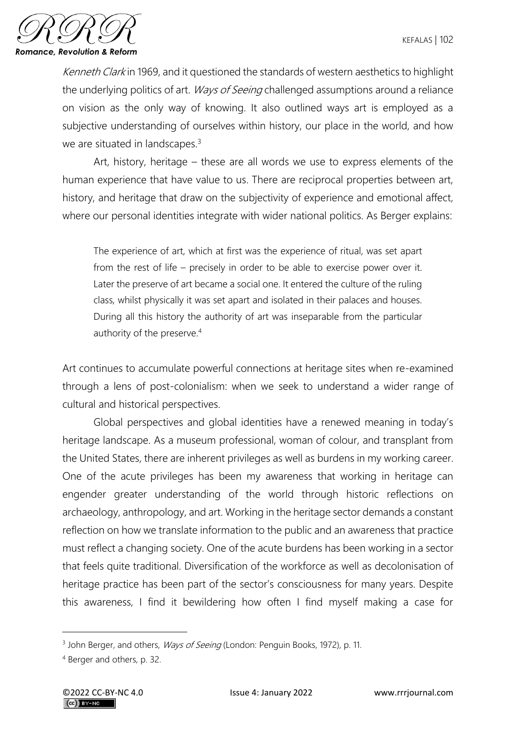

Kenneth Clark in 1969, and it questioned the standards of western aesthetics to highlight the underlying politics of art. *Ways of Seeing* challenged assumptions around a reliance on vision as the only way of knowing. It also outlined ways art is employed as a subjective understanding of ourselves within history, our place in the world, and how we are situated in landscapes. $3$ 

Art, history, heritage – these are all words we use to express elements of the human experience that have value to us. There are reciprocal properties between art, history, and heritage that draw on the subjectivity of experience and emotional affect, where our personal identities integrate with wider national politics. As Berger explains:

The experience of art, which at first was the experience of ritual, was set apart from the rest of life – precisely in order to be able to exercise power over it. Later the preserve of art became a social one. It entered the culture of the ruling class, whilst physically it was set apart and isolated in their palaces and houses. During all this history the authority of art was inseparable from the particular authority of the preserve.<sup>4</sup>

Art continues to accumulate powerful connections at heritage sites when re-examined through a lens of post-colonialism: when we seek to understand a wider range of cultural and historical perspectives.

Global perspectives and global identities have a renewed meaning in today's heritage landscape. As a museum professional, woman of colour, and transplant from the United States, there are inherent privileges as well as burdens in my working career. One of the acute privileges has been my awareness that working in heritage can engender greater understanding of the world through historic reflections on archaeology, anthropology, and art. Working in the heritage sector demands a constant reflection on how we translate information to the public and an awareness that practice must reflect a changing society. One of the acute burdens has been working in a sector that feels quite traditional. Diversification of the workforce as well as decolonisation of heritage practice has been part of the sector's consciousness for many years. Despite this awareness, I find it bewildering how often I find myself making a case for

<sup>&</sup>lt;sup>3</sup> John Berger, and others, *Ways of Seeing* (London: Penguin Books, 1972), p. 11.

<sup>4</sup> Berger and others, p. 32.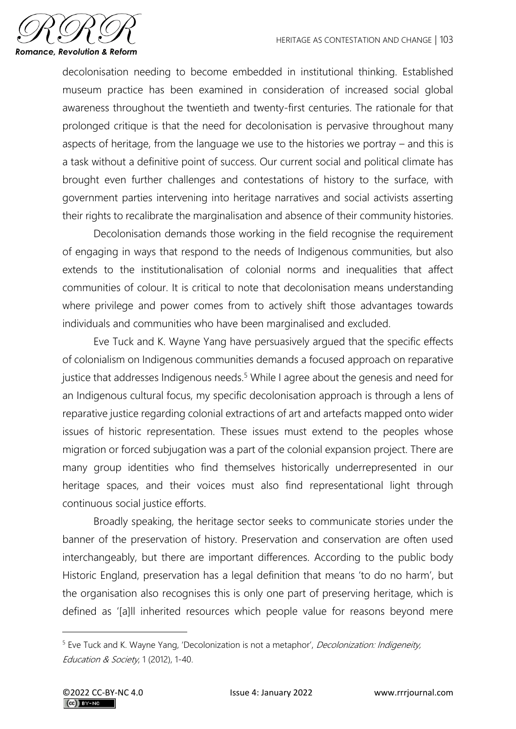

decolonisation needing to become embedded in institutional thinking. Established museum practice has been examined in consideration of increased social global awareness throughout the twentieth and twenty-first centuries. The rationale for that prolonged critique is that the need for decolonisation is pervasive throughout many aspects of heritage, from the language we use to the histories we portray – and this is a task without a definitive point of success. Our current social and political climate has brought even further challenges and contestations of history to the surface, with government parties intervening into heritage narratives and social activists asserting their rights to recalibrate the marginalisation and absence of their community histories.

Decolonisation demands those working in the field recognise the requirement of engaging in ways that respond to the needs of Indigenous communities, but also extends to the institutionalisation of colonial norms and inequalities that affect communities of colour. It is critical to note that decolonisation means understanding where privilege and power comes from to actively shift those advantages towards individuals and communities who have been marginalised and excluded.

Eve Tuck and K. Wayne Yang have persuasively argued that the specific effects of colonialism on Indigenous communities demands a focused approach on reparative justice that addresses Indigenous needs.<sup>5</sup> While I agree about the genesis and need for an Indigenous cultural focus, my specific decolonisation approach is through a lens of reparative justice regarding colonial extractions of art and artefacts mapped onto wider issues of historic representation. These issues must extend to the peoples whose migration or forced subjugation was a part of the colonial expansion project. There are many group identities who find themselves historically underrepresented in our heritage spaces, and their voices must also find representational light through continuous social justice efforts.

Broadly speaking, the heritage sector seeks to communicate stories under the banner of the preservation of history. Preservation and conservation are often used interchangeably, but there are important differences. According to the public body Historic England, preservation has a legal definition that means 'to do no harm', but the organisation also recognises this is only one part of preserving heritage, which is defined as '[a]ll inherited resources which people value for reasons beyond mere

<sup>&</sup>lt;sup>5</sup> Eve Tuck and K. Wayne Yang, 'Decolonization is not a metaphor', *Decolonization: Indigeneity*, Education & Society, 1 (2012), 1-40.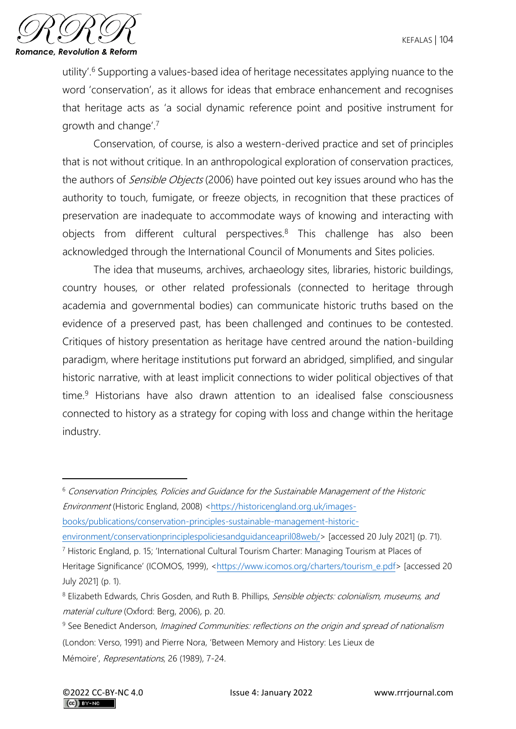

utility'.<sup>6</sup> Supporting a values-based idea of heritage necessitates applying nuance to the word 'conservation', as it allows for ideas that embrace enhancement and recognises that heritage acts as 'a social dynamic reference point and positive instrument for growth and change'.<sup>7</sup>

Conservation, of course, is also a western-derived practice and set of principles that is not without critique. In an anthropological exploration of conservation practices, the authors of *Sensible Objects* (2006) have pointed out key issues around who has the authority to touch, fumigate, or freeze objects, in recognition that these practices of preservation are inadequate to accommodate ways of knowing and interacting with objects from different cultural perspectives.<sup>8</sup> This challenge has also been acknowledged through the International Council of Monuments and Sites policies.

The idea that museums, archives, archaeology sites, libraries, historic buildings, country houses, or other related professionals (connected to heritage through academia and governmental bodies) can communicate historic truths based on the evidence of a preserved past, has been challenged and continues to be contested. Critiques of history presentation as heritage have centred around the nation-building paradigm, where heritage institutions put forward an abridged, simplified, and singular historic narrative, with at least implicit connections to wider political objectives of that time.<sup>9</sup> Historians have also drawn attention to an idealised false consciousness connected to history as a strategy for coping with loss and change within the heritage industry.

<sup>6</sup> Conservation Principles, Policies and Guidance for the Sustainable Management of the Historic Environment (Historic England, 2008) [<https://historicengland.org.uk/images](https://historicengland.org.uk/images-books/publications/conservation-principles-sustainable-management-historic-environment/conservationprinciplespoliciesandguidanceapril08web/)[books/publications/conservation-principles-sustainable-management-historic-](https://historicengland.org.uk/images-books/publications/conservation-principles-sustainable-management-historic-environment/conservationprinciplespoliciesandguidanceapril08web/)

environment/conservationprinciplespoliciesandquidanceapril08web/> [accessed 20 July 2021] (p. 71).

<sup>7</sup> Historic England, p. 15; 'International Cultural Tourism Charter: Managing Tourism at Places of Heritage Significance' (ICOMOS, 1999), [<https://www.icomos.org/charters/tourism\\_e.pdf>](https://www.icomos.org/charters/tourism_e.pdf) [accessed 20 July 2021] (p. 1).

<sup>&</sup>lt;sup>8</sup> Elizabeth Edwards, Chris Gosden, and Ruth B. Phillips, Sensible objects: colonialism, museums, and material culture (Oxford: Berg, 2006), p. 20.

<sup>&</sup>lt;sup>9</sup> See Benedict Anderson, *Imagined Communities: reflections on the origin and spread of nationalism* (London: Verso, 1991) and Pierre Nora, 'Between Memory and History: Les Lieux de Mémoire', Representations, 26 (1989), 7-24.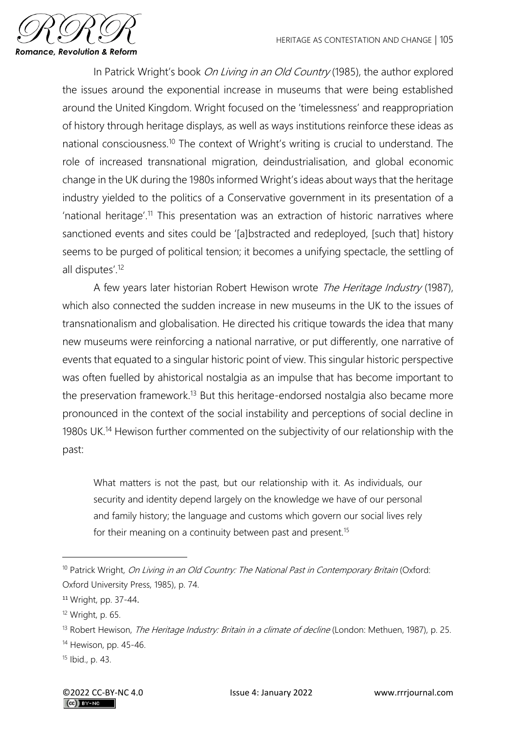

In Patrick Wright's book On Living in an Old Country (1985), the author explored the issues around the exponential increase in museums that were being established around the United Kingdom. Wright focused on the 'timelessness' and reappropriation of history through heritage displays, as well as ways institutions reinforce these ideas as national consciousness.<sup>10</sup> The context of Wright's writing is crucial to understand. The role of increased transnational migration, deindustrialisation, and global economic change in the UK during the 1980s informed Wright's ideas about ways that the heritage industry yielded to the politics of a Conservative government in its presentation of a 'national heritage'.<sup>11</sup> This presentation was an extraction of historic narratives where sanctioned events and sites could be '[a]bstracted and redeployed, [such that] history seems to be purged of political tension; it becomes a unifying spectacle, the settling of all disputes'.<sup>12</sup>

A few years later historian Robert Hewison wrote The Heritage Industry (1987), which also connected the sudden increase in new museums in the UK to the issues of transnationalism and globalisation. He directed his critique towards the idea that many new museums were reinforcing a national narrative, or put differently, one narrative of events that equated to a singular historic point of view. This singular historic perspective was often fuelled by ahistorical nostalgia as an impulse that has become important to the preservation framework.<sup>13</sup> But this heritage-endorsed nostalgia also became more pronounced in the context of the social instability and perceptions of social decline in 1980s UK.<sup>14</sup> Hewison further commented on the subjectivity of our relationship with the past:

What matters is not the past, but our relationship with it. As individuals, our security and identity depend largely on the knowledge we have of our personal and family history; the language and customs which govern our social lives rely for their meaning on a continuity between past and present.<sup>15</sup>

<sup>&</sup>lt;sup>10</sup> Patrick Wright, On Living in an Old Country: The National Past in Contemporary Britain (Oxford: Oxford University Press, 1985), p. 74.

<sup>11</sup> Wright, pp. 37-44.

<sup>12</sup> Wright, p. 65.

<sup>&</sup>lt;sup>13</sup> Robert Hewison, *The Heritage Industry: Britain in a climate of decline* (London: Methuen, 1987), p. 25.

<sup>14</sup> Hewison, pp. 45-46.

<sup>15</sup> Ibid., p. 43.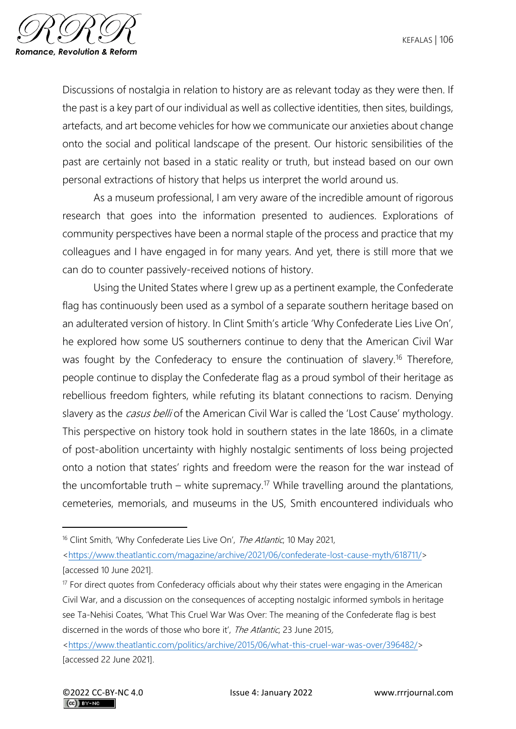

Discussions of nostalgia in relation to history are as relevant today as they were then. If the past is a key part of our individual as well as collective identities, then sites, buildings, artefacts, and art become vehicles for how we communicate our anxieties about change onto the social and political landscape of the present. Our historic sensibilities of the past are certainly not based in a static reality or truth, but instead based on our own personal extractions of history that helps us interpret the world around us.

As a museum professional, I am very aware of the incredible amount of rigorous research that goes into the information presented to audiences. Explorations of community perspectives have been a normal staple of the process and practice that my colleagues and I have engaged in for many years. And yet, there is still more that we can do to counter passively-received notions of history.

Using the United States where I grew up as a pertinent example, the Confederate flag has continuously been used as a symbol of a separate southern heritage based on an adulterated version of history. In Clint Smith's article 'Why Confederate Lies Live On', he explored how some US southerners continue to deny that the American Civil War was fought by the Confederacy to ensure the continuation of slavery.<sup>16</sup> Therefore, people continue to display the Confederate flag as a proud symbol of their heritage as rebellious freedom fighters, while refuting its blatant connections to racism. Denying slavery as the *casus belli* of the American Civil War is called the 'Lost Cause' mythology. This perspective on history took hold in southern states in the late 1860s, in a climate of post-abolition uncertainty with highly nostalgic sentiments of loss being projected onto a notion that states' rights and freedom were the reason for the war instead of the uncomfortable truth – white supremacy.<sup>17</sup> While travelling around the plantations, cemeteries, memorials, and museums in the US, Smith encountered individuals who

<sup>&</sup>lt;sup>16</sup> Clint Smith, 'Why Confederate Lies Live On', The Atlantic, 10 May 2021,

[<sup>&</sup>lt;https://www.theatlantic.com/magazine/archive/2021/06/confederate-lost-cause-myth/618711/>](https://www.theatlantic.com/magazine/archive/2021/06/confederate-lost-cause-myth/618711/) [accessed 10 June 2021].

 $17$  For direct quotes from Confederacy officials about why their states were engaging in the American Civil War, and a discussion on the consequences of accepting nostalgic informed symbols in heritage see Ta-Nehisi Coates, 'What This Cruel War Was Over: The meaning of the Confederate flag is best discerned in the words of those who bore it', The Atlantic, 23 June 2015,

[<sup>&</sup>lt;https://www.theatlantic.com/politics/archive/2015/06/what-this-cruel-war-was-over/396482/>](https://www.theatlantic.com/politics/archive/2015/06/what-this-cruel-war-was-over/396482/) [accessed 22 June 2021].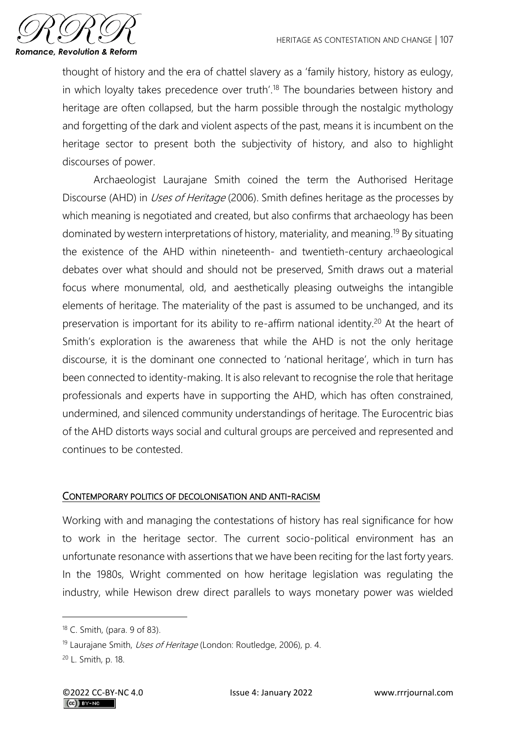

thought of history and the era of chattel slavery as a 'family history, history as eulogy, in which loyalty takes precedence over truth'.<sup>18</sup> The boundaries between history and heritage are often collapsed, but the harm possible through the nostalgic mythology and forgetting of the dark and violent aspects of the past, means it is incumbent on the heritage sector to present both the subjectivity of history, and also to highlight discourses of power.

Archaeologist Laurajane Smith coined the term the Authorised Heritage Discourse (AHD) in *Uses of Heritage* (2006). Smith defines heritage as the processes by which meaning is negotiated and created, but also confirms that archaeology has been dominated by western interpretations of history, materiality, and meaning.<sup>19</sup> By situating the existence of the AHD within nineteenth- and twentieth-century archaeological debates over what should and should not be preserved, Smith draws out a material focus where monumental, old, and aesthetically pleasing outweighs the intangible elements of heritage. The materiality of the past is assumed to be unchanged, and its preservation is important for its ability to re-affirm national identity.<sup>20</sup> At the heart of Smith's exploration is the awareness that while the AHD is not the only heritage discourse, it is the dominant one connected to 'national heritage', which in turn has been connected to identity-making. It is also relevant to recognise the role that heritage professionals and experts have in supporting the AHD, which has often constrained, undermined, and silenced community understandings of heritage. The Eurocentric bias of the AHD distorts ways social and cultural groups are perceived and represented and continues to be contested.

# CONTEMPORARY POLITICS OF DECOLONISATION AND ANTI-RACISM

Working with and managing the contestations of history has real significance for how to work in the heritage sector. The current socio-political environment has an unfortunate resonance with assertions that we have been reciting for the last forty years. In the 1980s, Wright commented on how heritage legislation was regulating the industry, while Hewison drew direct parallels to ways monetary power was wielded

<sup>18</sup> C. Smith, (para. 9 of 83).

<sup>&</sup>lt;sup>19</sup> Laurajane Smith, *Uses of Heritage* (London: Routledge, 2006), p. 4.

<sup>20</sup> L. Smith, p. 18.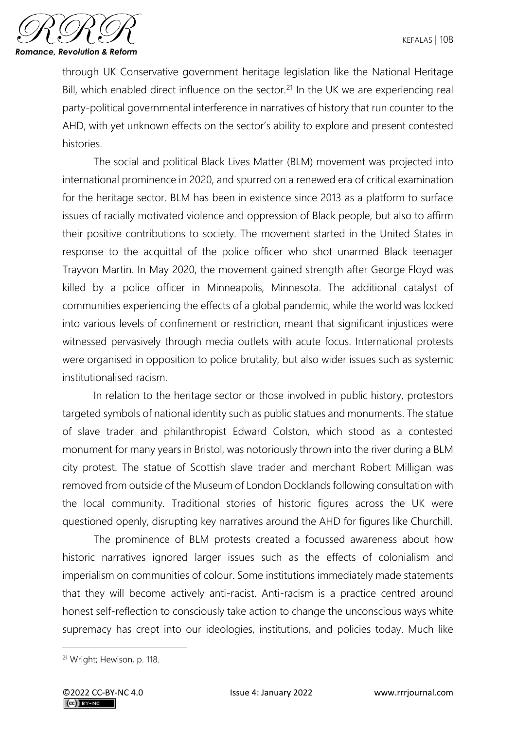

through UK Conservative government heritage legislation like the National Heritage Bill, which enabled direct influence on the sector.<sup>21</sup> In the UK we are experiencing real party-political governmental interference in narratives of history that run counter to the AHD, with yet unknown effects on the sector's ability to explore and present contested histories.

The social and political Black Lives Matter (BLM) movement was projected into international prominence in 2020, and spurred on a renewed era of critical examination for the heritage sector. BLM has been in existence since 2013 as a platform to surface issues of racially motivated violence and oppression of Black people, but also to affirm their positive contributions to society. The movement started in the United States in response to the acquittal of the police officer who shot unarmed Black teenager Trayvon Martin. In May 2020, the movement gained strength after George Floyd was killed by a police officer in Minneapolis, Minnesota. The additional catalyst of communities experiencing the effects of a global pandemic, while the world was locked into various levels of confinement or restriction, meant that significant injustices were witnessed pervasively through media outlets with acute focus. International protests were organised in opposition to police brutality, but also wider issues such as systemic institutionalised racism.

In relation to the heritage sector or those involved in public history, protestors targeted symbols of national identity such as public statues and monuments. The statue of slave trader and philanthropist Edward Colston, which stood as a contested monument for many years in Bristol, was notoriously thrown into the river during a BLM city protest. The statue of Scottish slave trader and merchant Robert Milligan was removed from outside of the Museum of London Docklands following consultation with the local community. Traditional stories of historic figures across the UK were questioned openly, disrupting key narratives around the AHD for figures like Churchill.

The prominence of BLM protests created a focussed awareness about how historic narratives ignored larger issues such as the effects of colonialism and imperialism on communities of colour. Some institutions immediately made statements that they will become actively anti-racist. Anti-racism is a practice centred around honest self-reflection to consciously take action to change the unconscious ways white supremacy has crept into our ideologies, institutions, and policies today. Much like

<sup>21</sup> Wright; Hewison, p. 118.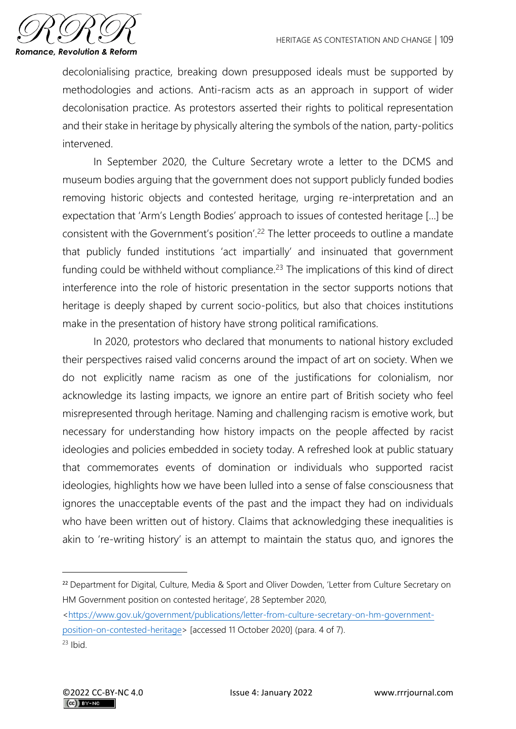

decolonialising practice, breaking down presupposed ideals must be supported by methodologies and actions. Anti-racism acts as an approach in support of wider decolonisation practice. As protestors asserted their rights to political representation and their stake in heritage by physically altering the symbols of the nation, party-politics intervened.

In September 2020, the Culture Secretary wrote a letter to the DCMS and museum bodies arguing that the government does not support publicly funded bodies removing historic objects and contested heritage, urging re-interpretation and an expectation that 'Arm's Length Bodies' approach to issues of contested heritage […] be consistent with the Government's position'.<sup>22</sup> The letter proceeds to outline a mandate that publicly funded institutions 'act impartially' and insinuated that government funding could be withheld without compliance.<sup>23</sup> The implications of this kind of direct interference into the role of historic presentation in the sector supports notions that heritage is deeply shaped by current socio-politics, but also that choices institutions make in the presentation of history have strong political ramifications.

In 2020, protestors who declared that monuments to national history excluded their perspectives raised valid concerns around the impact of art on society. When we do not explicitly name racism as one of the justifications for colonialism, nor acknowledge its lasting impacts, we ignore an entire part of British society who feel misrepresented through heritage. Naming and challenging racism is emotive work, but necessary for understanding how history impacts on the people affected by racist ideologies and policies embedded in society today. A refreshed look at public statuary that commemorates events of domination or individuals who supported racist ideologies, highlights how we have been lulled into a sense of false consciousness that ignores the unacceptable events of the past and the impact they had on individuals who have been written out of history. Claims that acknowledging these inequalities is akin to 're-writing history' is an attempt to maintain the status quo, and ignores the

<sup>&</sup>lt;sup>22</sup> Department for Digital, Culture, Media & Sport and Oliver Dowden, 'Letter from Culture Secretary on HM Government position on contested heritage', 28 September 2020,

[<sup>&</sup>lt;https://www.gov.uk/government/publications/letter-from-culture-secretary-on-hm-government-](https://www.gov.uk/government/publications/letter-from-culture-secretary-on-hm-government-position-on-contested-heritage)

[position-on-contested-heritage>](https://www.gov.uk/government/publications/letter-from-culture-secretary-on-hm-government-position-on-contested-heritage) [accessed 11 October 2020] (para. 4 of 7).  $23$  Ibid.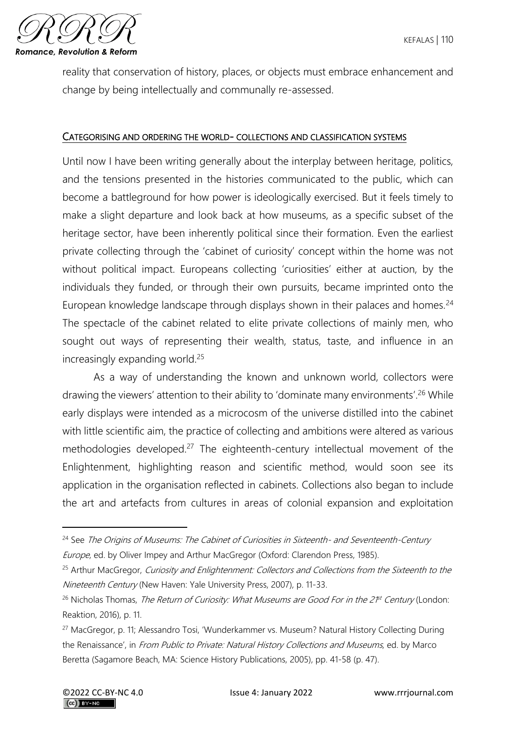

reality that conservation of history, places, or objects must embrace enhancement and change by being intellectually and communally re-assessed.

#### CATEGORISING AND ORDERING THE WORLD- COLLECTIONS AND CLASSIFICATION SYSTEMS

Until now I have been writing generally about the interplay between heritage, politics, and the tensions presented in the histories communicated to the public, which can become a battleground for how power is ideologically exercised. But it feels timely to make a slight departure and look back at how museums, as a specific subset of the heritage sector, have been inherently political since their formation. Even the earliest private collecting through the 'cabinet of curiosity' concept within the home was not without political impact. Europeans collecting 'curiosities' either at auction, by the individuals they funded, or through their own pursuits, became imprinted onto the European knowledge landscape through displays shown in their palaces and homes.<sup>24</sup> The spectacle of the cabinet related to elite private collections of mainly men, who sought out ways of representing their wealth, status, taste, and influence in an increasingly expanding world.<sup>25</sup>

As a way of understanding the known and unknown world, collectors were drawing the viewers' attention to their ability to 'dominate many environments'.<sup>26</sup> While early displays were intended as a microcosm of the universe distilled into the cabinet with little scientific aim, the practice of collecting and ambitions were altered as various methodologies developed.<sup>27</sup> The eighteenth-century intellectual movement of the Enlightenment, highlighting reason and scientific method, would soon see its application in the organisation reflected in cabinets. Collections also began to include the art and artefacts from cultures in areas of colonial expansion and exploitation

<sup>&</sup>lt;sup>24</sup> See The Origins of Museums: The Cabinet of Curiosities in Sixteenth- and Seventeenth-Century Europe, ed. by Oliver Impey and Arthur MacGregor (Oxford: Clarendon Press, 1985).

<sup>&</sup>lt;sup>25</sup> Arthur MacGregor, Curiosity and Enlightenment: Collectors and Collections from the Sixteenth to the Nineteenth Century (New Haven: Yale University Press, 2007), p. 11-33.

<sup>&</sup>lt;sup>26</sup> Nicholas Thomas, *The Return of Curiosity: What Museums are Good For in the 21<sup>st</sup> Century* (London: Reaktion, 2016), p. 11.

<sup>&</sup>lt;sup>27</sup> MacGregor, p. 11; Alessandro Tosi, 'Wunderkammer vs. Museum? Natural History Collecting During the Renaissance', in From Public to Private: Natural History Collections and Museums, ed. by Marco Beretta (Sagamore Beach, MA: Science History Publications, 2005), pp. 41-58 (p. 47).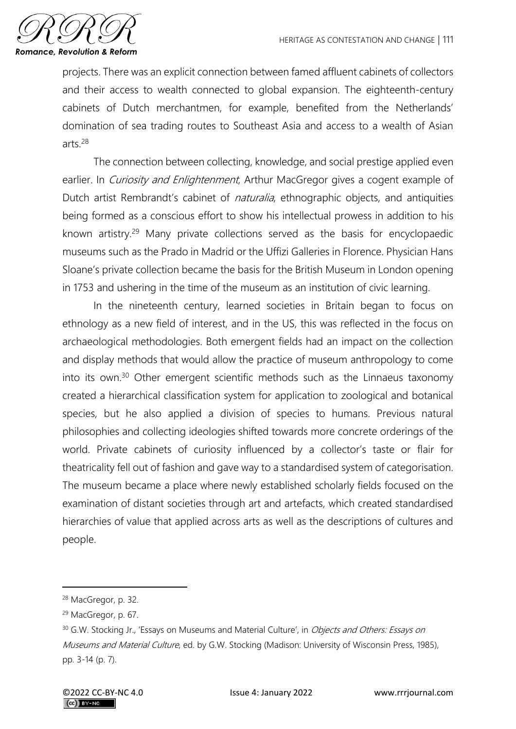

projects. There was an explicit connection between famed affluent cabinets of collectors and their access to wealth connected to global expansion. The eighteenth-century cabinets of Dutch merchantmen, for example, benefited from the Netherlands' domination of sea trading routes to Southeast Asia and access to a wealth of Asian arts $28$ 

The connection between collecting, knowledge, and social prestige applied even earlier. In *Curiosity and Enlightenment*, Arthur MacGregor gives a cogent example of Dutch artist Rembrandt's cabinet of *naturalia*, ethnographic objects, and antiquities being formed as a conscious effort to show his intellectual prowess in addition to his known artistry.<sup>29</sup> Many private collections served as the basis for encyclopaedic museums such as the Prado in Madrid or the Uffizi Galleries in Florence. Physician Hans Sloane's private collection became the basis for the British Museum in London opening in 1753 and ushering in the time of the museum as an institution of civic learning.

In the nineteenth century, learned societies in Britain began to focus on ethnology as a new field of interest, and in the US, this was reflected in the focus on archaeological methodologies. Both emergent fields had an impact on the collection and display methods that would allow the practice of museum anthropology to come into its own.<sup>30</sup> Other emergent scientific methods such as the Linnaeus taxonomy created a hierarchical classification system for application to zoological and botanical species, but he also applied a division of species to humans. Previous natural philosophies and collecting ideologies shifted towards more concrete orderings of the world. Private cabinets of curiosity influenced by a collector's taste or flair for theatricality fell out of fashion and gave way to a standardised system of categorisation. The museum became a place where newly established scholarly fields focused on the examination of distant societies through art and artefacts, which created standardised hierarchies of value that applied across arts as well as the descriptions of cultures and people.

<sup>28</sup> MacGregor, p. 32.

<sup>29</sup> MacGregor, p. 67.

<sup>&</sup>lt;sup>30</sup> G.W. Stocking Jr., 'Essays on Museums and Material Culture', in *Objects and Others: Essays on* Museums and Material Culture, ed. by G.W. Stocking (Madison: University of Wisconsin Press, 1985), pp. 3-14 (p. 7).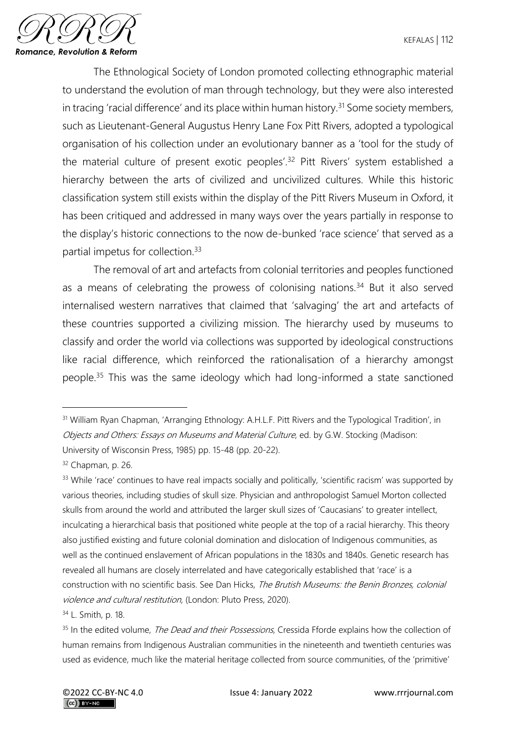

The Ethnological Society of London promoted collecting ethnographic material to understand the evolution of man through technology, but they were also interested in tracing 'racial difference' and its place within human history.<sup>31</sup> Some society members, such as Lieutenant-General Augustus Henry Lane Fox Pitt Rivers, adopted a typological organisation of his collection under an evolutionary banner as a 'tool for the study of the material culture of present exotic peoples'.<sup>32</sup> Pitt Rivers' system established a hierarchy between the arts of civilized and uncivilized cultures. While this historic classification system still exists within the display of the Pitt Rivers Museum in Oxford, it has been critiqued and addressed in many ways over the years partially in response to the display's historic connections to the now de-bunked 'race science' that served as a partial impetus for collection.<sup>33</sup>

The removal of art and artefacts from colonial territories and peoples functioned as a means of celebrating the prowess of colonising nations.<sup>34</sup> But it also served internalised western narratives that claimed that 'salvaging' the art and artefacts of these countries supported a civilizing mission. The hierarchy used by museums to classify and order the world via collections was supported by ideological constructions like racial difference, which reinforced the rationalisation of a hierarchy amongst people.<sup>35</sup> This was the same ideology which had long-informed a state sanctioned

<sup>&</sup>lt;sup>31</sup> William Ryan Chapman, 'Arranging Ethnology: A.H.L.F. Pitt Rivers and the Typological Tradition', in Objects and Others: Essays on Museums and Material Culture, ed. by G.W. Stocking (Madison: University of Wisconsin Press, 1985) pp. 15-48 (pp. 20-22).

<sup>32</sup> Chapman, p. 26.

<sup>&</sup>lt;sup>33</sup> While 'race' continues to have real impacts socially and politically, 'scientific racism' was supported by various theories, including studies of skull size. Physician and anthropologist Samuel Morton collected skulls from around the world and attributed the larger skull sizes of 'Caucasians' to greater intellect, inculcating a hierarchical basis that positioned white people at the top of a racial hierarchy. This theory also justified existing and future colonial domination and dislocation of Indigenous communities, as well as the continued enslavement of African populations in the 1830s and 1840s. Genetic research has revealed all humans are closely interrelated and have categorically established that 'race' is a construction with no scientific basis. See Dan Hicks, The Brutish Museums: the Benin Bronzes, colonial violence and cultural restitution, (London: Pluto Press, 2020).

<sup>34</sup> L. Smith, p. 18.

<sup>&</sup>lt;sup>35</sup> In the edited volume, *The Dead and their Possessions*, Cressida Fforde explains how the collection of human remains from Indigenous Australian communities in the nineteenth and twentieth centuries was used as evidence, much like the material heritage collected from source communities, of the 'primitive'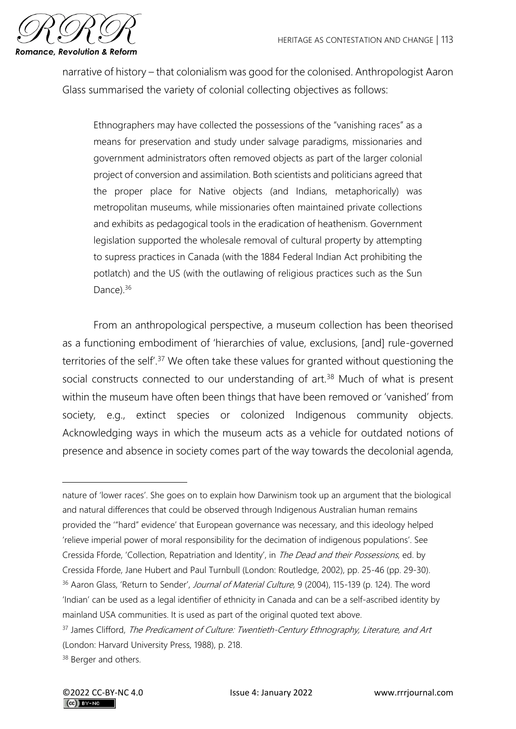

narrative of history – that colonialism was good for the colonised. Anthropologist Aaron Glass summarised the variety of colonial collecting objectives as follows:

Ethnographers may have collected the possessions of the "vanishing races" as a means for preservation and study under salvage paradigms, missionaries and government administrators often removed objects as part of the larger colonial project of conversion and assimilation. Both scientists and politicians agreed that the proper place for Native objects (and Indians, metaphorically) was metropolitan museums, while missionaries often maintained private collections and exhibits as pedagogical tools in the eradication of heathenism. Government legislation supported the wholesale removal of cultural property by attempting to supress practices in Canada (with the 1884 Federal Indian Act prohibiting the potlatch) and the US (with the outlawing of religious practices such as the Sun Dance).<sup>36</sup>

From an anthropological perspective, a museum collection has been theorised as a functioning embodiment of 'hierarchies of value, exclusions, [and] rule-governed territories of the self'.<sup>37</sup> We often take these values for granted without questioning the social constructs connected to our understanding of art.<sup>38</sup> Much of what is present within the museum have often been things that have been removed or 'vanished' from society, e.g., extinct species or colonized Indigenous community objects. Acknowledging ways in which the museum acts as a vehicle for outdated notions of presence and absence in society comes part of the way towards the decolonial agenda,

nature of 'lower races'. She goes on to explain how Darwinism took up an argument that the biological and natural differences that could be observed through Indigenous Australian human remains provided the '"hard" evidence' that European governance was necessary, and this ideology helped 'relieve imperial power of moral responsibility for the decimation of indigenous populations'. See Cressida Fforde, 'Collection, Repatriation and Identity', in The Dead and their Possessions, ed. by Cressida Fforde, Jane Hubert and Paul Turnbull (London: Routledge, 2002), pp. 25-46 (pp. 29-30). <sup>36</sup> Aaron Glass, 'Return to Sender', Journal of Material Culture, 9 (2004), 115-139 (p. 124). The word 'Indian' can be used as a legal identifier of ethnicity in Canada and can be a self-ascribed identity by mainland USA communities. It is used as part of the original quoted text above.

<sup>&</sup>lt;sup>37</sup> James Clifford, The Predicament of Culture: Twentieth-Century Ethnography, Literature, and Art (London: Harvard University Press, 1988), p. 218.

<sup>&</sup>lt;sup>38</sup> Berger and others.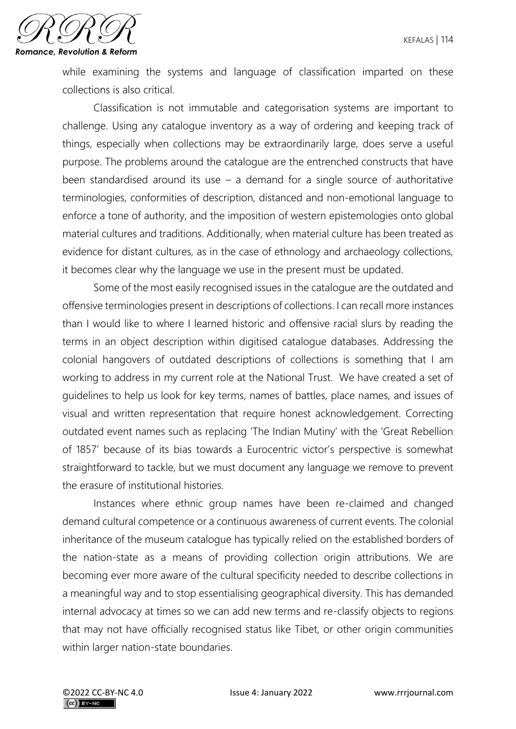

while examining the systems and language of classification imparted on these collections is also critical.

Classification is not immutable and categorisation systems are important to challenge. Using any catalogue inventory as a way of ordering and keeping track of things, especially when collections may be extraordinarily large, does serve a useful purpose. The problems around the catalogue are the entrenched constructs that have been standardised around its use  $-$  a demand for a single source of authoritative terminologies, conformities of description, distanced and non-emotional language to enforce a tone of authority, and the imposition of western epistemologies onto global material cultures and traditions. Additionally, when material culture has been treated as evidence for distant cultures, as in the case of ethnology and archaeology collections, it becomes clear why the language we use in the present must be updated.

Some of the most easily recognised issues in the catalogue are the outdated and offensive terminologies present in descriptions of collections. I can recall more instances than I would like to where I learned historic and offensive racial slurs by reading the terms in an object description within digitised catalogue databases. Addressing the colonial hangovers of outdated descriptions of collections is something that I am working to address in my current role at the National Trust. We have created a set of guidelines to help us look for key terms, names of battles, place names, and issues of visual and written representation that require honest acknowledgement. Correcting outdated event names such as replacing 'The Indian Mutiny' with the 'Great Rebellion of 1857' because of its bias towards a Eurocentric victor's perspective is somewhat straightforward to tackle, but we must document any language we remove to prevent the erasure of institutional histories.

Instances where ethnic group names have been re-claimed and changed demand cultural competence or a continuous awareness of current events. The colonial inheritance of the museum catalogue has typically relied on the established borders of the nation-state as a means of providing collection origin attributions. We are becoming ever more aware of the cultural specificity needed to describe collections in a meaningful way and to stop essentialising geographical diversity. This has demanded internal advocacy at times so we can add new terms and re-classify objects to regions that may not have officially recognised status like Tibet, or other origin communities within larger nation-state boundaries.

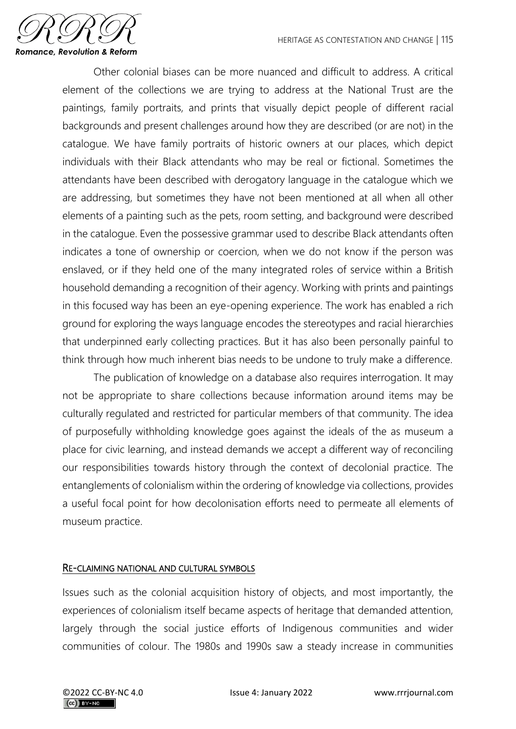

Other colonial biases can be more nuanced and difficult to address. A critical element of the collections we are trying to address at the National Trust are the paintings, family portraits, and prints that visually depict people of different racial backgrounds and present challenges around how they are described (or are not) in the catalogue. We have family portraits of historic owners at our places, which depict individuals with their Black attendants who may be real or fictional. Sometimes the attendants have been described with derogatory language in the catalogue which we are addressing, but sometimes they have not been mentioned at all when all other elements of a painting such as the pets, room setting, and background were described in the catalogue. Even the possessive grammar used to describe Black attendants often indicates a tone of ownership or coercion, when we do not know if the person was enslaved, or if they held one of the many integrated roles of service within a British household demanding a recognition of their agency. Working with prints and paintings in this focused way has been an eye-opening experience. The work has enabled a rich ground for exploring the ways language encodes the stereotypes and racial hierarchies that underpinned early collecting practices. But it has also been personally painful to think through how much inherent bias needs to be undone to truly make a difference.

The publication of knowledge on a database also requires interrogation. It may not be appropriate to share collections because information around items may be culturally regulated and restricted for particular members of that community. The idea of purposefully withholding knowledge goes against the ideals of the as museum a place for civic learning, and instead demands we accept a different way of reconciling our responsibilities towards history through the context of decolonial practice. The entanglements of colonialism within the ordering of knowledge via collections, provides a useful focal point for how decolonisation efforts need to permeate all elements of museum practice.

# RE-CLAIMING NATIONAL AND CULTURAL SYMBOLS

Issues such as the colonial acquisition history of objects, and most importantly, the experiences of colonialism itself became aspects of heritage that demanded attention, largely through the social justice efforts of Indigenous communities and wider communities of colour. The 1980s and 1990s saw a steady increase in communities

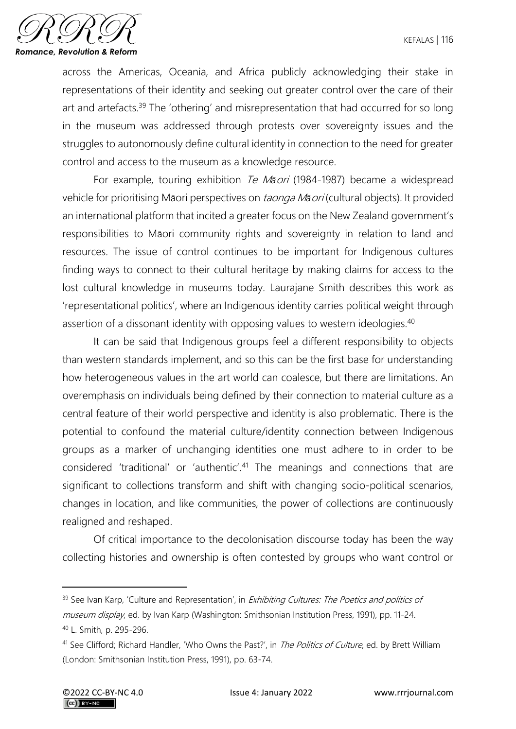

across the Americas, Oceania, and Africa publicly acknowledging their stake in representations of their identity and seeking out greater control over the care of their art and artefacts.<sup>39</sup> The 'othering' and misrepresentation that had occurred for so long in the museum was addressed through protests over sovereignty issues and the struggles to autonomously define cultural identity in connection to the need for greater control and access to the museum as a knowledge resource.

For example, touring exhibition Te M*ā*ori (1984-1987) became a widespread vehicle for prioritising Māori perspectives on taonga M*ā*ori (cultural objects). It provided an international platform that incited a greater focus on the New Zealand government's responsibilities to Māori community rights and sovereignty in relation to land and resources. The issue of control continues to be important for Indigenous cultures finding ways to connect to their cultural heritage by making claims for access to the lost cultural knowledge in museums today. Laurajane Smith describes this work as 'representational politics', where an Indigenous identity carries political weight through assertion of a dissonant identity with opposing values to western ideologies.<sup>40</sup>

It can be said that Indigenous groups feel a different responsibility to objects than western standards implement, and so this can be the first base for understanding how heterogeneous values in the art world can coalesce, but there are limitations. An overemphasis on individuals being defined by their connection to material culture as a central feature of their world perspective and identity is also problematic. There is the potential to confound the material culture/identity connection between Indigenous groups as a marker of unchanging identities one must adhere to in order to be considered 'traditional' or 'authentic'.<sup>41</sup> The meanings and connections that are significant to collections transform and shift with changing socio-political scenarios, changes in location, and like communities, the power of collections are continuously realigned and reshaped.

Of critical importance to the decolonisation discourse today has been the way collecting histories and ownership is often contested by groups who want control or

<sup>&</sup>lt;sup>39</sup> See Ivan Karp, 'Culture and Representation', in *Exhibiting Cultures: The Poetics and politics of* museum display, ed. by Ivan Karp (Washington: Smithsonian Institution Press, 1991), pp. 11-24. <sup>40</sup> L. Smith, p. 295-296.

<sup>&</sup>lt;sup>41</sup> See Clifford; Richard Handler, 'Who Owns the Past?', in *The Politics of Culture*, ed. by Brett William (London: Smithsonian Institution Press, 1991), pp. 63-74.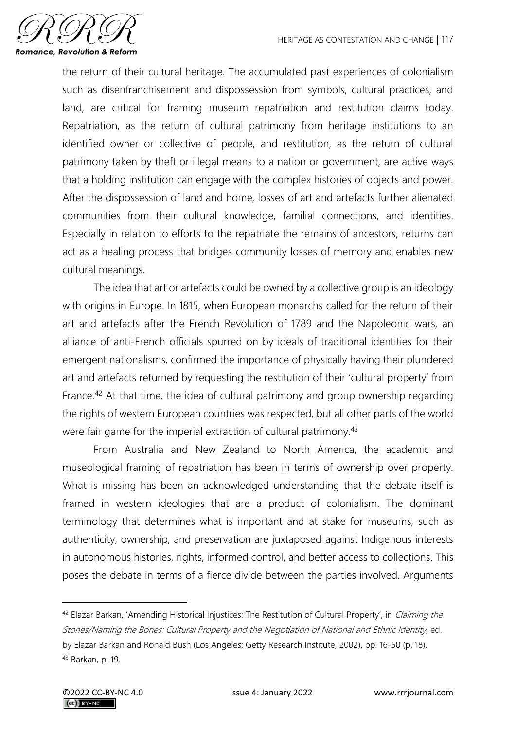

the return of their cultural heritage. The accumulated past experiences of colonialism such as disenfranchisement and dispossession from symbols, cultural practices, and land, are critical for framing museum repatriation and restitution claims today. Repatriation, as the return of cultural patrimony from heritage institutions to an identified owner or collective of people, and restitution, as the return of cultural patrimony taken by theft or illegal means to a nation or government, are active ways that a holding institution can engage with the complex histories of objects and power. After the dispossession of land and home, losses of art and artefacts further alienated communities from their cultural knowledge, familial connections, and identities. Especially in relation to efforts to the repatriate the remains of ancestors, returns can act as a healing process that bridges community losses of memory and enables new cultural meanings.

The idea that art or artefacts could be owned by a collective group is an ideology with origins in Europe. In 1815, when European monarchs called for the return of their art and artefacts after the French Revolution of 1789 and the Napoleonic wars, an alliance of anti-French officials spurred on by ideals of traditional identities for their emergent nationalisms, confirmed the importance of physically having their plundered art and artefacts returned by requesting the restitution of their 'cultural property' from France.<sup>42</sup> At that time, the idea of cultural patrimony and group ownership regarding the rights of western European countries was respected, but all other parts of the world were fair game for the imperial extraction of cultural patrimony.<sup>43</sup>

From Australia and New Zealand to North America, the academic and museological framing of repatriation has been in terms of ownership over property. What is missing has been an acknowledged understanding that the debate itself is framed in western ideologies that are a product of colonialism. The dominant terminology that determines what is important and at stake for museums, such as authenticity, ownership, and preservation are juxtaposed against Indigenous interests in autonomous histories, rights, informed control, and better access to collections. This poses the debate in terms of a fierce divide between the parties involved. Arguments

<sup>&</sup>lt;sup>42</sup> Elazar Barkan, 'Amending Historical Injustices: The Restitution of Cultural Property', in Claiming the Stones/Naming the Bones: Cultural Property and the Negotiation of National and Ethnic Identity, ed. by Elazar Barkan and Ronald Bush (Los Angeles: Getty Research Institute, 2002), pp. 16-50 (p. 18). <sup>43</sup> Barkan, p. 19.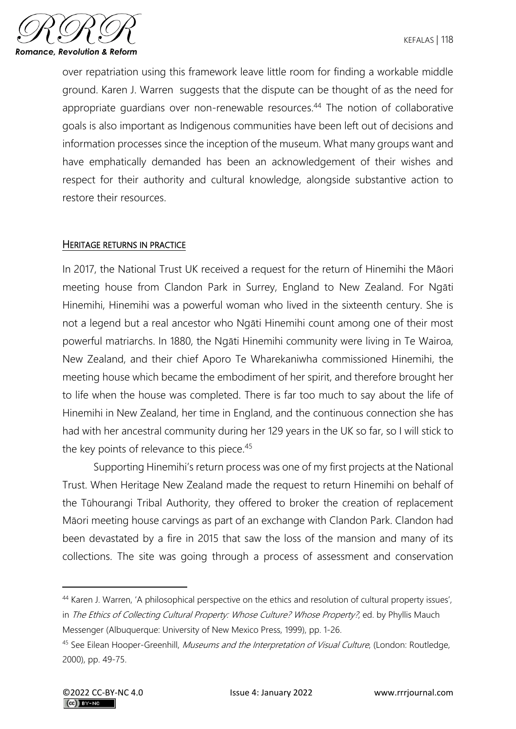

over repatriation using this framework leave little room for finding a workable middle ground. Karen J. Warren suggests that the dispute can be thought of as the need for appropriate guardians over non-renewable resources.<sup>44</sup> The notion of collaborative goals is also important as Indigenous communities have been left out of decisions and information processes since the inception of the museum. What many groups want and have emphatically demanded has been an acknowledgement of their wishes and respect for their authority and cultural knowledge, alongside substantive action to restore their resources.

#### HERITAGE RETURNS IN PRACTICE

In 2017, the National Trust UK received a request for the return of Hinemihi the Māori meeting house from Clandon Park in Surrey, England to New Zealand. For Ngāti Hinemihi, Hinemihi was a powerful woman who lived in the sixteenth century. She is not a legend but a real ancestor who Ngāti Hinemihi count among one of their most powerful matriarchs. In 1880, the Ngāti Hinemihi community were living in Te Wairoa, New Zealand, and their chief Aporo Te Wharekaniwha commissioned Hinemihi, the meeting house which became the embodiment of her spirit, and therefore brought her to life when the house was completed. There is far too much to say about the life of Hinemihi in New Zealand, her time in England, and the continuous connection she has had with her ancestral community during her 129 years in the UK so far, so I will stick to the key points of relevance to this piece.<sup>45</sup>

Supporting Hinemihi's return process was one of my first projects at the National Trust. When Heritage New Zealand made the request to return Hinemihi on behalf of the Tūhourangi Tribal Authority, they offered to broker the creation of replacement Māori meeting house carvings as part of an exchange with Clandon Park. Clandon had been devastated by a fire in 2015 that saw the loss of the mansion and many of its collections. The site was going through a process of assessment and conservation

<sup>44</sup> [Karen J. Warren](https://philpapers.org/s/Karen%20J.%20Warren), 'A philosophical perspective on the ethics and resolution of cultural property issues', in The Ethics of Collecting Cultural Property: Whose Culture? Whose Property?, ed. by Phyllis Mauch Messenger (Albuquerque: University of New Mexico Press, 1999), pp. 1-26.

<sup>&</sup>lt;sup>45</sup> See Eilean Hooper-Greenhill, *Museums and the Interpretation of Visual Culture*, (London: Routledge, 2000), pp. 49-75.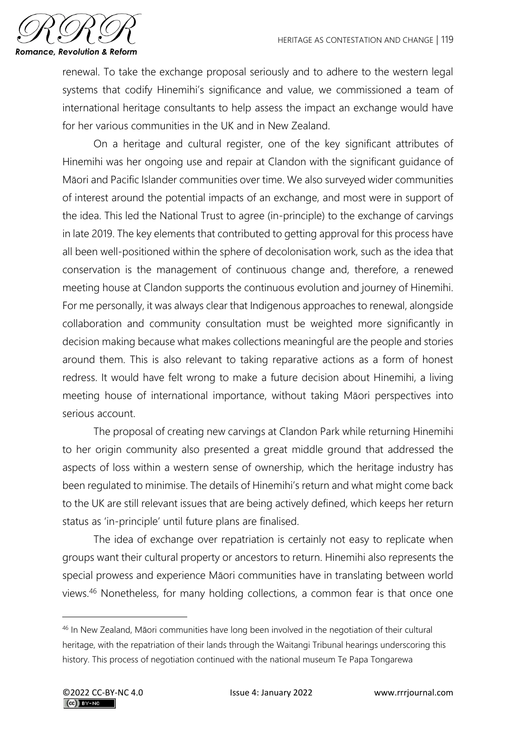

renewal. To take the exchange proposal seriously and to adhere to the western legal systems that codify Hinemihi's significance and value, we commissioned a team of international heritage consultants to help assess the impact an exchange would have for her various communities in the UK and in New Zealand.

On a heritage and cultural register, one of the key significant attributes of Hinemihi was her ongoing use and repair at Clandon with the significant guidance of Māori and Pacific Islander communities over time. We also surveyed wider communities of interest around the potential impacts of an exchange, and most were in support of the idea. This led the National Trust to agree (in-principle) to the exchange of carvings in late 2019. The key elements that contributed to getting approval for this process have all been well-positioned within the sphere of decolonisation work, such as the idea that conservation is the management of continuous change and, therefore, a renewed meeting house at Clandon supports the continuous evolution and journey of Hinemihi. For me personally, it was always clear that Indigenous approaches to renewal, alongside collaboration and community consultation must be weighted more significantly in decision making because what makes collections meaningful are the people and stories around them. This is also relevant to taking reparative actions as a form of honest redress. It would have felt wrong to make a future decision about Hinemihi, a living meeting house of international importance, without taking Māori perspectives into serious account.

The proposal of creating new carvings at Clandon Park while returning Hinemihi to her origin community also presented a great middle ground that addressed the aspects of loss within a western sense of ownership, which the heritage industry has been regulated to minimise. The details of Hinemihi's return and what might come back to the UK are still relevant issues that are being actively defined, which keeps her return status as 'in-principle' until future plans are finalised.

The idea of exchange over repatriation is certainly not easy to replicate when groups want their cultural property or ancestors to return. Hinemihi also represents the special prowess and experience Māori communities have in translating between world views.<sup>46</sup> Nonetheless, for many holding collections, a common fear is that once one

<sup>46</sup> In New Zealand, Māori communities have long been involved in the negotiation of their cultural heritage, with the repatriation of their lands through the Waitangi Tribunal hearings underscoring this history. This process of negotiation continued with the national museum Te Papa Tongarewa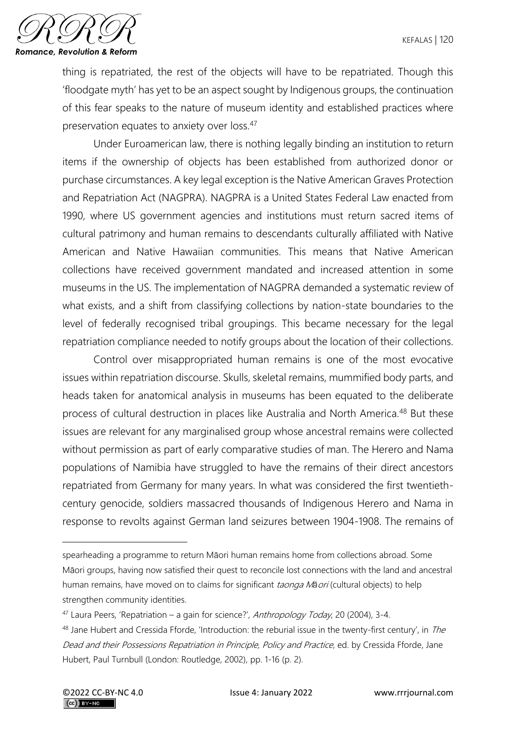

thing is repatriated, the rest of the objects will have to be repatriated. Though this 'floodgate myth' has yet to be an aspect sought by Indigenous groups, the continuation of this fear speaks to the nature of museum identity and established practices where preservation equates to anxiety over loss.<sup>47</sup>

Under Euroamerican law, there is nothing legally binding an institution to return items if the ownership of objects has been established from authorized donor or purchase circumstances. A key legal exception is the Native American Graves Protection and Repatriation Act (NAGPRA). NAGPRA is a United States Federal Law enacted from 1990, where US government agencies and institutions must return sacred items of cultural patrimony and human remains to descendants culturally affiliated with Native American and Native Hawaiian communities. This means that Native American collections have received government mandated and increased attention in some museums in the US. The implementation of NAGPRA demanded a systematic review of what exists, and a shift from classifying collections by nation-state boundaries to the level of federally recognised tribal groupings. This became necessary for the legal repatriation compliance needed to notify groups about the location of their collections.

Control over misappropriated human remains is one of the most evocative issues within repatriation discourse. Skulls, skeletal remains, mummified body parts, and heads taken for anatomical analysis in museums has been equated to the deliberate process of cultural destruction in places like Australia and North America.<sup>48</sup> But these issues are relevant for any marginalised group whose ancestral remains were collected without permission as part of early comparative studies of man. The Herero and Nama populations of Namibia have struggled to have the remains of their direct ancestors repatriated from Germany for many years. In what was considered the first twentiethcentury genocide, soldiers massacred thousands of Indigenous Herero and Nama in response to revolts against German land seizures between 1904-1908. The remains of

spearheading a programme to return Māori human remains home from collections abroad. Some Māori groups, having now satisfied their quest to reconcile lost connections with the land and ancestral human remains, have moved on to claims for significant taonga M*ā*ori (cultural objects) to help strengthen community identities.

 $47$  Laura Peers, 'Repatriation – a gain for science?', Anthropology Today, 20 (2004), 3-4.

<sup>48</sup> Jane Hubert and Cressida Fforde, 'Introduction: the reburial issue in the twenty-first century', in The Dead and their Possessions Repatriation in Principle, Policy and Practice, ed. by Cressida Fforde, Jane Hubert, Paul Turnbull (London: Routledge, 2002), pp. 1-16 (p. 2).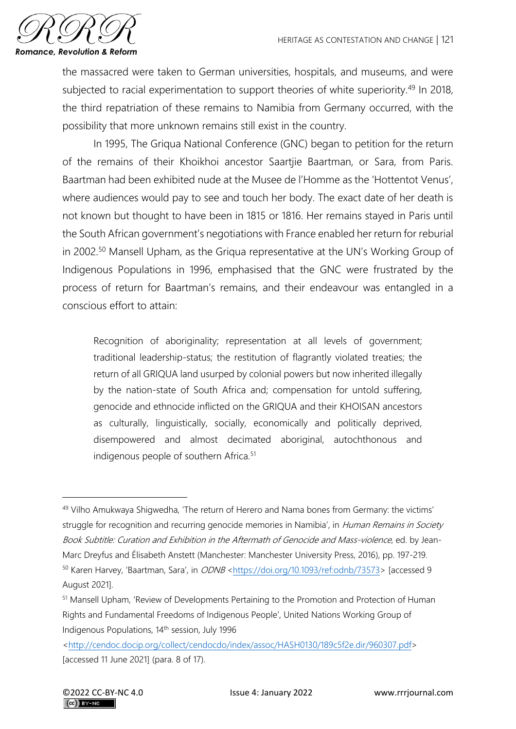

the massacred were taken to German universities, hospitals, and museums, and were subjected to racial experimentation to support theories of white superiority.<sup>49</sup> In 2018, the third repatriation of these remains to Namibia from Germany occurred, with the possibility that more unknown remains still exist in the country.

In 1995, The Griqua National Conference (GNC) began to petition for the return of the remains of their Khoikhoi ancestor Saartjie Baartman, or Sara, from Paris. Baartman had been exhibited nude at the Musee de l'Homme as the 'Hottentot Venus', where audiences would pay to see and touch her body. The exact date of her death is not known but thought to have been in 1815 or 1816. Her remains stayed in Paris until the South African government's negotiations with France enabled her return for reburial in 2002.<sup>50</sup> Mansell Upham, as the Griqua representative at the UN's Working Group of Indigenous Populations in 1996, emphasised that the GNC were frustrated by the process of return for Baartman's remains, and their endeavour was entangled in a conscious effort to attain:

Recognition of aboriginality; representation at all levels of government; traditional leadership-status; the restitution of flagrantly violated treaties; the return of all GRIQUA land usurped by colonial powers but now inherited illegally by the nation-state of South Africa and; compensation for untold suffering, genocide and ethnocide inflicted on the GRIQUA and their KHOISAN ancestors as culturally, linguistically, socially, economically and politically deprived, disempowered and almost decimated aboriginal, autochthonous and indigenous people of southern Africa.<sup>51</sup>

<sup>49</sup> Vilho Amukwaya Shigwedha, 'The return of Herero and Nama bones from Germany: the victims' struggle for recognition and recurring genocide memories in Namibia', in Human Remains in Society Book Subtitle: Curation and Exhibition in the Aftermath of Genocide and Mass-violence, ed. by Jean-Marc Dreyfus and Élisabeth Anstett (Manchester: Manchester University Press, 2016), pp. 197-219. 50 Karen Harvey, 'Baartman, Sara', in ODNB < https://doi.org/10.1093/ref:odnb/73573> [accessed 9

August 2021].

<sup>&</sup>lt;sup>51</sup> Mansell Upham, 'Review of Developments Pertaining to the Promotion and Protection of Human Rights and Fundamental Freedoms of Indigenous People', United Nations Working Group of Indigenous Populations, 14th session, July 1996

[<sup>&</sup>lt;http://cendoc.docip.org/collect/cendocdo/index/assoc/HASH0130/189c5f2e.dir/960307.pdf>](http://cendoc.docip.org/collect/cendocdo/index/assoc/HASH0130/189c5f2e.dir/960307.pdf) [accessed 11 June 2021] (para. 8 of 17).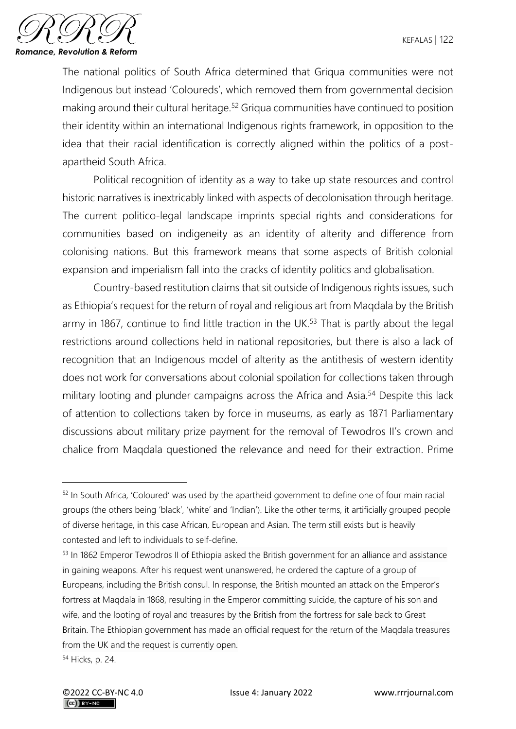

The national politics of South Africa determined that Griqua communities were not Indigenous but instead 'Coloureds', which removed them from governmental decision making around their cultural heritage.<sup>52</sup> Griqua communities have continued to position their identity within an international Indigenous rights framework, in opposition to the idea that their racial identification is correctly aligned within the politics of a postapartheid South Africa.

Political recognition of identity as a way to take up state resources and control historic narratives is inextricably linked with aspects of decolonisation through heritage. The current politico-legal landscape imprints special rights and considerations for communities based on indigeneity as an identity of alterity and difference from colonising nations. But this framework means that some aspects of British colonial expansion and imperialism fall into the cracks of identity politics and globalisation.

Country-based restitution claims that sit outside of Indigenous rights issues, such as Ethiopia's request for the return of royal and religious art from Maqdala by the British army in 1867, continue to find little traction in the UK.<sup>53</sup> That is partly about the legal restrictions around collections held in national repositories, but there is also a lack of recognition that an Indigenous model of alterity as the antithesis of western identity does not work for conversations about colonial spoilation for collections taken through military looting and plunder campaigns across the Africa and Asia.<sup>54</sup> Despite this lack of attention to collections taken by force in museums, as early as 1871 Parliamentary discussions about military prize payment for the removal of Tewodros II's crown and chalice from Maqdala questioned the relevance and need for their extraction. Prime

<sup>52</sup> In South Africa, 'Coloured' was used by the apartheid government to define one of four main racial groups (the others being 'black', 'white' and 'Indian'). Like the other terms, it artificially grouped people of diverse heritage, in this case African, European and Asian. The term still exists but is heavily contested and left to individuals to self-define.

<sup>53</sup> In 1862 Emperor Tewodros II of Ethiopia asked the British government for an alliance and assistance in gaining weapons. After his request went unanswered, he ordered the capture of a group of Europeans, including the British consul. In response, the British mounted an attack on the Emperor's fortress at Maqdala in 1868, resulting in the Emperor committing suicide, the capture of his son and wife, and the looting of royal and treasures by the British from the fortress for sale back to Great Britain. The Ethiopian government has made an official request for the return of the Maqdala treasures from the UK and the request is currently open.

<sup>54</sup> Hicks, p. 24.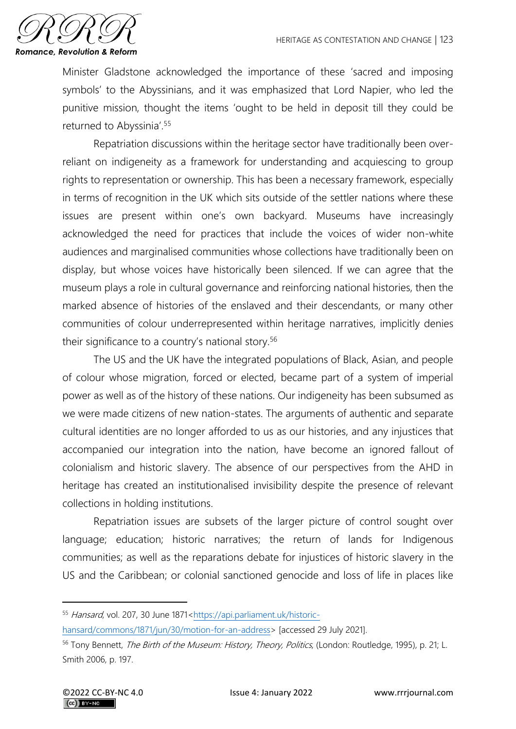

Minister Gladstone acknowledged the importance of these 'sacred and imposing symbols' to the Abyssinians, and it was emphasized that Lord Napier, who led the punitive mission, thought the items 'ought to be held in deposit till they could be returned to Abyssinia'.<sup>55</sup>

Repatriation discussions within the heritage sector have traditionally been overreliant on indigeneity as a framework for understanding and acquiescing to group rights to representation or ownership. This has been a necessary framework, especially in terms of recognition in the UK which sits outside of the settler nations where these issues are present within one's own backyard. Museums have increasingly acknowledged the need for practices that include the voices of wider non-white audiences and marginalised communities whose collections have traditionally been on display, but whose voices have historically been silenced. If we can agree that the museum plays a role in cultural governance and reinforcing national histories, then the marked absence of histories of the enslaved and their descendants, or many other communities of colour underrepresented within heritage narratives, implicitly denies their significance to a country's national story.<sup>56</sup>

The US and the UK have the integrated populations of Black, Asian, and people of colour whose migration, forced or elected, became part of a system of imperial power as well as of the history of these nations. Our indigeneity has been subsumed as we were made citizens of new nation-states. The arguments of authentic and separate cultural identities are no longer afforded to us as our histories, and any injustices that accompanied our integration into the nation, have become an ignored fallout of colonialism and historic slavery. The absence of our perspectives from the AHD in heritage has created an institutionalised invisibility despite the presence of relevant collections in holding institutions.

Repatriation issues are subsets of the larger picture of control sought over language; education; historic narratives; the return of lands for Indigenous communities; as well as the reparations debate for injustices of historic slavery in the US and the Caribbean; or colonial sanctioned genocide and loss of life in places like

<sup>55</sup> Hansard, vol. 207, 30 June 1871[<https://api.parliament.uk/historic-](https://api.parliament.uk/historic-hansard/commons/1871/jun/30/motion-for-an-address)

[hansard/commons/1871/jun/30/motion-for-an-address>](https://api.parliament.uk/historic-hansard/commons/1871/jun/30/motion-for-an-address) [accessed 29 July 2021].

<sup>&</sup>lt;sup>56</sup> Tony Bennett, The Birth of the Museum: History, Theory, Politics, (London: Routledge, 1995), p. 21; L. Smith 2006, p. 197.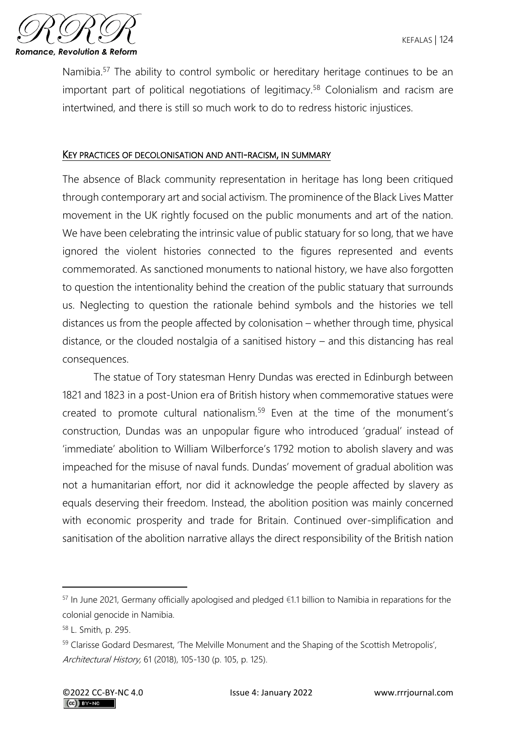

Namibia.<sup>57</sup> The ability to control symbolic or hereditary heritage continues to be an important part of political negotiations of legitimacy.<sup>58</sup> Colonialism and racism are intertwined, and there is still so much work to do to redress historic injustices.

## KEY PRACTICES OF DECOLONISATION AND ANTI-RACISM, IN SUMMARY

The absence of Black community representation in heritage has long been critiqued through contemporary art and social activism. The prominence of the Black Lives Matter movement in the UK rightly focused on the public monuments and art of the nation. We have been celebrating the intrinsic value of public statuary for so long, that we have ignored the violent histories connected to the figures represented and events commemorated. As sanctioned monuments to national history, we have also forgotten to question the intentionality behind the creation of the public statuary that surrounds us. Neglecting to question the rationale behind symbols and the histories we tell distances us from the people affected by colonisation – whether through time, physical distance, or the clouded nostalgia of a sanitised history – and this distancing has real consequences.

The statue of Tory statesman Henry Dundas was erected in Edinburgh between 1821 and 1823 in a post-Union era of British history when commemorative statues were created to promote cultural nationalism.<sup>59</sup> Even at the time of the monument's construction, Dundas was an unpopular figure who introduced 'gradual' instead of 'immediate' abolition to William Wilberforce's 1792 motion to abolish slavery and was impeached for the misuse of naval funds. Dundas' movement of gradual abolition was not a humanitarian effort, nor did it acknowledge the people affected by slavery as equals deserving their freedom. Instead, the abolition position was mainly concerned with economic prosperity and trade for Britain. Continued over-simplification and sanitisation of the abolition narrative allays the direct responsibility of the British nation

 $57$  In June 2021, Germany officially apologised and pledged €1.1 billion to Namibia in reparations for the colonial genocide in Namibia.

<sup>58</sup> L. Smith, p. 295.

<sup>59</sup> Clarisse Godard Desmarest, 'The Melville Monument and the Shaping of the Scottish Metropolis', Architectural History, 61 (2018), 105-130 (p. 105, p. 125).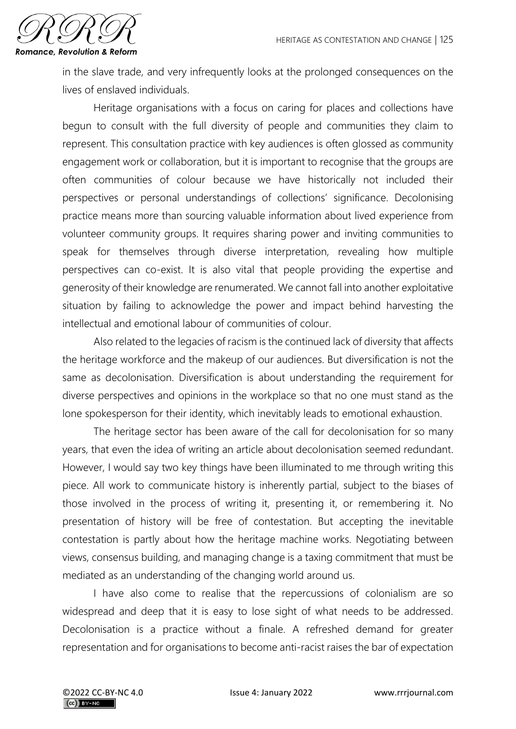

in the slave trade, and very infrequently looks at the prolonged consequences on the lives of enslaved individuals.

Heritage organisations with a focus on caring for places and collections have begun to consult with the full diversity of people and communities they claim to represent. This consultation practice with key audiences is often glossed as community engagement work or collaboration, but it is important to recognise that the groups are often communities of colour because we have historically not included their perspectives or personal understandings of collections' significance. Decolonising practice means more than sourcing valuable information about lived experience from volunteer community groups. It requires sharing power and inviting communities to speak for themselves through diverse interpretation, revealing how multiple perspectives can co-exist. It is also vital that people providing the expertise and generosity of their knowledge are renumerated. We cannot fall into another exploitative situation by failing to acknowledge the power and impact behind harvesting the intellectual and emotional labour of communities of colour.

Also related to the legacies of racism is the continued lack of diversity that affects the heritage workforce and the makeup of our audiences. But diversification is not the same as decolonisation. Diversification is about understanding the requirement for diverse perspectives and opinions in the workplace so that no one must stand as the lone spokesperson for their identity, which inevitably leads to emotional exhaustion.

The heritage sector has been aware of the call for decolonisation for so many years, that even the idea of writing an article about decolonisation seemed redundant. However, I would say two key things have been illuminated to me through writing this piece. All work to communicate history is inherently partial, subject to the biases of those involved in the process of writing it, presenting it, or remembering it. No presentation of history will be free of contestation. But accepting the inevitable contestation is partly about how the heritage machine works. Negotiating between views, consensus building, and managing change is a taxing commitment that must be mediated as an understanding of the changing world around us.

I have also come to realise that the repercussions of colonialism are so widespread and deep that it is easy to lose sight of what needs to be addressed. Decolonisation is a practice without a finale. A refreshed demand for greater representation and for organisations to become anti-racist raises the bar of expectation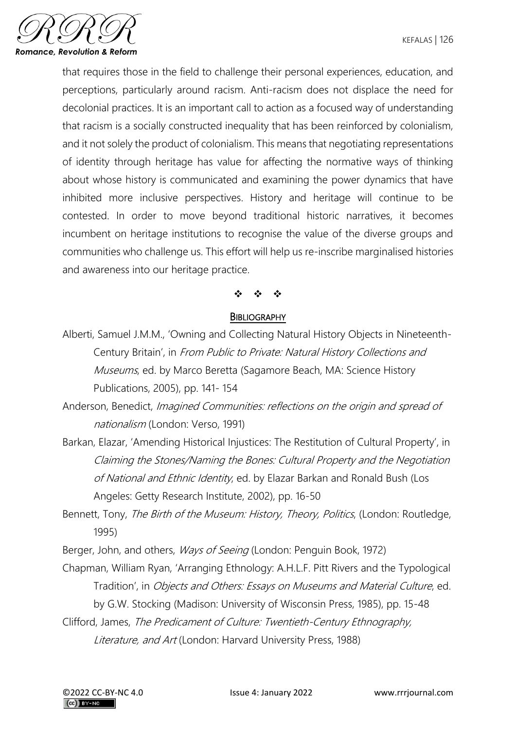

that requires those in the field to challenge their personal experiences, education, and perceptions, particularly around racism. Anti-racism does not displace the need for decolonial practices. It is an important call to action as a focused way of understanding that racism is a socially constructed inequality that has been reinforced by colonialism, and it not solely the product of colonialism. This means that negotiating representations of identity through heritage has value for affecting the normative ways of thinking about whose history is communicated and examining the power dynamics that have inhibited more inclusive perspectives. History and heritage will continue to be contested. In order to move beyond traditional historic narratives, it becomes incumbent on heritage institutions to recognise the value of the diverse groups and communities who challenge us. This effort will help us re-inscribe marginalised histories and awareness into our heritage practice.

# ❖ ❖ ❖

## **BIBLIOGRAPHY**

Alberti, Samuel J.M.M., 'Owning and Collecting Natural History Objects in Nineteenth-Century Britain', in From Public to Private: Natural History Collections and Museums, ed. by Marco Beretta (Sagamore Beach, MA: Science History Publications, 2005), pp. 141- 154

Anderson, Benedict, Imagined Communities: reflections on the origin and spread of nationalism (London: Verso, 1991)

- Barkan, Elazar, 'Amending Historical Injustices: The Restitution of Cultural Property', in Claiming the Stones/Naming the Bones: Cultural Property and the Negotiation of National and Ethnic Identity, ed. by Elazar Barkan and Ronald Bush (Los Angeles: Getty Research Institute, 2002), pp. 16-50
- Bennett, Tony, The Birth of the Museum: History, Theory, Politics, (London: Routledge, 1995)

Berger, John, and others, *Ways of Seeing* (London: Penguin Book, 1972)

- Chapman, William Ryan, 'Arranging Ethnology: A.H.L.F. Pitt Rivers and the Typological Tradition', in Objects and Others: Essays on Museums and Material Culture, ed. by G.W. Stocking (Madison: University of Wisconsin Press, 1985), pp. 15-48
- Clifford, James, The Predicament of Culture: Twentieth-Century Ethnography, Literature, and Art (London: Harvard University Press, 1988)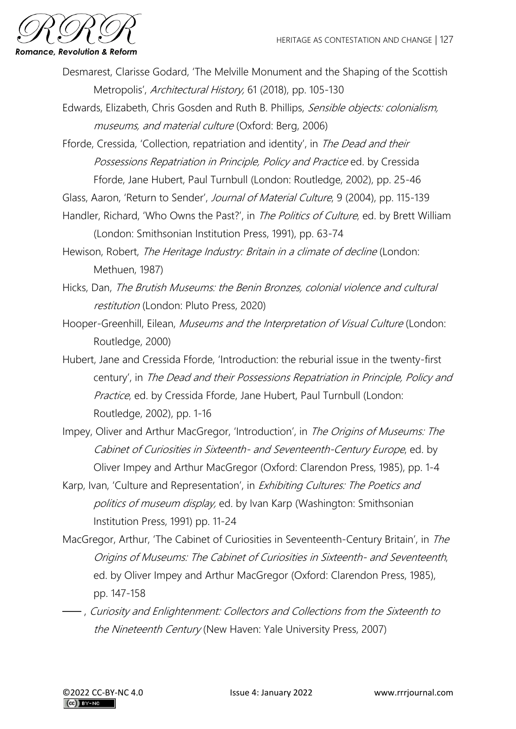

- Desmarest, Clarisse Godard, 'The Melville Monument and the Shaping of the Scottish Metropolis', Architectural History, 61 (2018), pp. 105-130
- Edwards, Elizabeth, Chris Gosden and Ruth B. Phillips, Sensible objects: colonialism, museums, and material culture (Oxford: Berg, 2006)
- Fforde, Cressida, 'Collection, repatriation and identity', in The Dead and their Possessions Repatriation in Principle, Policy and Practice ed. by Cressida Fforde, Jane Hubert, Paul Turnbull (London: Routledge, 2002), pp. 25-46
- Glass, Aaron, 'Return to Sender', Journal of Material Culture, 9 (2004), pp. 115-139
- Handler, Richard, 'Who Owns the Past?', in *The Politics of Culture*, ed. by Brett William (London: Smithsonian Institution Press, 1991), pp. 63-74
- Hewison, Robert, The Heritage Industry: Britain in a climate of decline (London: Methuen, 1987)
- Hicks, Dan, The Brutish Museums: the Benin Bronzes, colonial violence and cultural restitution (London: Pluto Press, 2020)
- Hooper-Greenhill, Eilean, Museums and the Interpretation of Visual Culture (London: Routledge, 2000)
- Hubert, Jane and Cressida Fforde, 'Introduction: the reburial issue in the twenty-first century', in The Dead and their Possessions Repatriation in Principle, Policy and Practice, ed. by Cressida Fforde, Jane Hubert, Paul Turnbull (London: Routledge, 2002), pp. 1-16
- Impey, Oliver and Arthur MacGregor, 'Introduction', in The Origins of Museums: The Cabinet of Curiosities in Sixteenth- and Seventeenth-Century Europe, ed. by Oliver Impey and Arthur MacGregor (Oxford: Clarendon Press, 1985), pp. 1-4
- Karp, Ivan, 'Culture and Representation', in *Exhibiting Cultures: The Poetics and* politics of museum display, ed. by Ivan Karp (Washington: Smithsonian Institution Press, 1991) pp. 11-24
- MacGregor, Arthur, 'The Cabinet of Curiosities in Seventeenth-Century Britain', in The Origins of Museums: The Cabinet of Curiosities in Sixteenth- and Seventeenth, ed. by Oliver Impey and Arthur MacGregor (Oxford: Clarendon Press, 1985), pp. 147-158
- ⸺, Curiosity and Enlightenment: Collectors and Collections from the Sixteenth to the Nineteenth Century (New Haven: Yale University Press, 2007)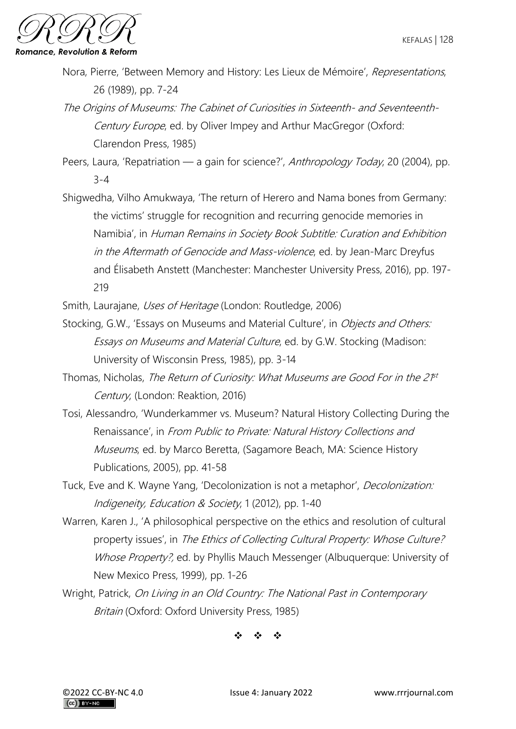- Nora, Pierre, 'Between Memory and History: Les Lieux de Mémoire', Representations, 26 (1989), pp. 7-24
- The Origins of Museums: The Cabinet of Curiosities in Sixteenth- and Seventeenth-Century Europe, ed. by Oliver Impey and Arthur MacGregor (Oxford: Clarendon Press, 1985)
- Peers, Laura, 'Repatriation a gain for science?', Anthropology Today, 20 (2004), pp. 3-4
- Shigwedha, Vilho Amukwaya, 'The return of Herero and Nama bones from Germany: the victims' struggle for recognition and recurring genocide memories in Namibia', in Human Remains in Society Book Subtitle: Curation and Exhibition in the Aftermath of Genocide and Mass-violence, ed. by Jean-Marc Dreyfus and Élisabeth Anstett (Manchester: Manchester University Press, 2016), pp. 197- 219
- Smith, Laurajane, Uses of Heritage (London: Routledge, 2006)
- Stocking, G.W., 'Essays on Museums and Material Culture', in *Objects and Others:* Essays on Museums and Material Culture, ed. by G.W. Stocking (Madison: University of Wisconsin Press, 1985), pp. 3-14
- Thomas, Nicholas, The Return of Curiosity: What Museums are Good For in the 2<sup>pt</sup> Century, (London: Reaktion, 2016)
- Tosi, Alessandro, 'Wunderkammer vs. Museum? Natural History Collecting During the Renaissance', in From Public to Private: Natural History Collections and Museums, ed. by Marco Beretta, (Sagamore Beach, MA: Science History Publications, 2005), pp. 41-58
- Tuck, Eve and K. Wayne Yang, 'Decolonization is not a metaphor', Decolonization: Indigeneity, Education & Society, 1 (2012), pp. 1-40
- Warren, Karen J., 'A philosophical perspective on the ethics and resolution of cultural property issues', in The Ethics of Collecting Cultural Property: Whose Culture? Whose Property?, ed. by Phyllis Mauch Messenger (Albuquerque: University of New Mexico Press, 1999), pp. 1-26
- Wright, Patrick, On Living in an Old Country: The National Past in Contemporary Britain (Oxford: Oxford University Press, 1985)

❖ ❖ ❖